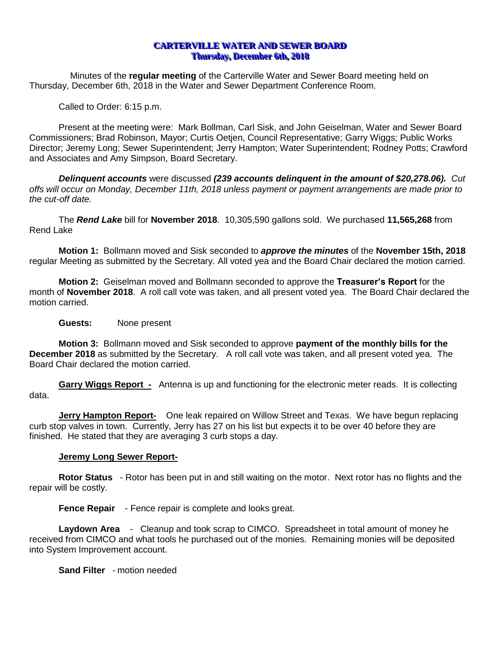# **CARTERVILLE WATER AND SEWER BOARD Thursday, December 6th, 2018**

Minutes of the **regular meeting** of the Carterville Water and Sewer Board meeting held on Thursday, December 6th, 2018 in the Water and Sewer Department Conference Room.

Called to Order: 6:15 p.m.

Present at the meeting were: Mark Bollman, Carl Sisk, and John Geiselman, Water and Sewer Board Commissioners; Brad Robinson, Mayor; Curtis Oetjen, Council Representative; Garry Wiggs; Public Works Director; Jeremy Long; Sewer Superintendent; Jerry Hampton; Water Superintendent; Rodney Potts; Crawford and Associates and Amy Simpson, Board Secretary.

*Delinquent accounts* were discussed *(239 accounts delinquent in the amount of \$20,278.06). Cut offs will occur on Monday, December 11th, 2018 unless payment or payment arrangements are made prior to the cut-off date.*

The *Rend Lake* bill for **November 2018**. 10,305,590 gallons sold. We purchased **11,565,268** from Rend Lake

**Motion 1:** Bollmann moved and Sisk seconded to *approve the minutes* of the **November 15th, 2018**  regular Meeting as submitted by the Secretary. All voted yea and the Board Chair declared the motion carried.

**Motion 2:** Geiselman moved and Bollmann seconded to approve the **Treasurer's Report** for the month of **November 2018**. A roll call vote was taken, and all present voted yea. The Board Chair declared the motion carried.

## **Guests:** None present

**Motion 3:** Bollmann moved and Sisk seconded to approve **payment of the monthly bills for the December 2018** as submitted by the Secretary. A roll call vote was taken, and all present voted yea. The Board Chair declared the motion carried.

**Garry Wiggs Report -** Antenna is up and functioning for the electronic meter reads. It is collecting data.

**Jerry Hampton Report-** One leak repaired on Willow Street and Texas. We have begun replacing curb stop valves in town. Currently, Jerry has 27 on his list but expects it to be over 40 before they are finished. He stated that they are averaging 3 curb stops a day.

## **Jeremy Long Sewer Report-**

**Rotor Status** - Rotor has been put in and still waiting on the motor. Next rotor has no flights and the repair will be costly.

**Fence Repair** - Fence repair is complete and looks great.

**Laydown Area** - Cleanup and took scrap to CIMCO. Spreadsheet in total amount of money he received from CIMCO and what tools he purchased out of the monies. Remaining monies will be deposited into System Improvement account.

**Sand Filter** - motion needed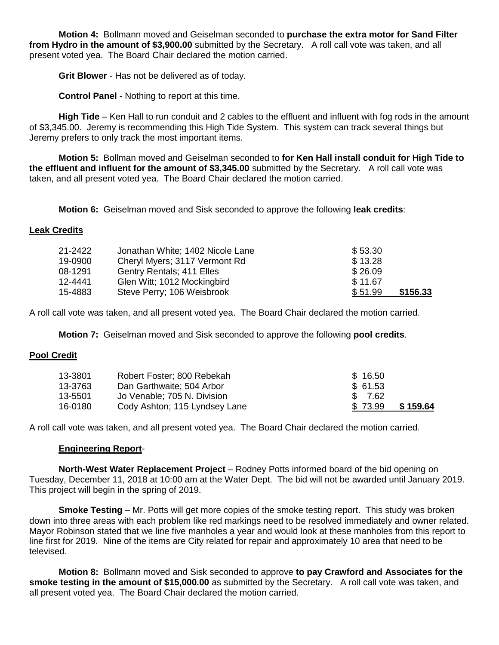**Motion 4:** Bollmann moved and Geiselman seconded to **purchase the extra motor for Sand Filter from Hydro in the amount of \$3,900.00** submitted by the Secretary. A roll call vote was taken, and all present voted yea. The Board Chair declared the motion carried.

**Grit Blower** - Has not be delivered as of today.

**Control Panel** - Nothing to report at this time.

**High Tide** – Ken Hall to run conduit and 2 cables to the effluent and influent with fog rods in the amount of \$3,345.00. Jeremy is recommending this High Tide System. This system can track several things but Jeremy prefers to only track the most important items.

**Motion 5:** Bollman moved and Geiselman seconded to **for Ken Hall install conduit for High Tide to the effluent and influent for the amount of \$3,345.00** submitted by the Secretary. A roll call vote was taken, and all present voted yea. The Board Chair declared the motion carried.

**Motion 6:** Geiselman moved and Sisk seconded to approve the following **leak credits**:

## **Leak Credits**

| 21-2422 | Jonathan White; 1402 Nicole Lane | \$53.30             |
|---------|----------------------------------|---------------------|
| 19-0900 | Cheryl Myers; 3117 Vermont Rd    | \$13.28             |
| 08-1291 | Gentry Rentals; 411 Elles        | \$26.09             |
| 12-4441 | Glen Witt; 1012 Mockingbird      | \$11.67             |
| 15-4883 | Steve Perry; 106 Weisbrook       | \$156.33<br>\$51.99 |

A roll call vote was taken, and all present voted yea. The Board Chair declared the motion carried*.*

**Motion 7:** Geiselman moved and Sisk seconded to approve the following **pool credits**.

## **Pool Credit**

| 13-3801 | Robert Foster; 800 Rebekah    | \$16.50             |
|---------|-------------------------------|---------------------|
| 13-3763 | Dan Garthwaite; 504 Arbor     | \$ 61.53            |
| 13-5501 | Jo Venable; 705 N. Division   | \$ 7.62             |
| 16-0180 | Cody Ashton; 115 Lyndsey Lane | \$159.64<br>\$73.99 |

A roll call vote was taken, and all present voted yea. The Board Chair declared the motion carried*.*

## **Engineering Report**-

**North-West Water Replacement Project** – Rodney Potts informed board of the bid opening on Tuesday, December 11, 2018 at 10:00 am at the Water Dept. The bid will not be awarded until January 2019. This project will begin in the spring of 2019.

**Smoke Testing** – Mr. Potts will get more copies of the smoke testing report. This study was broken down into three areas with each problem like red markings need to be resolved immediately and owner related. Mayor Robinson stated that we line five manholes a year and would look at these manholes from this report to line first for 2019. Nine of the items are City related for repair and approximately 10 area that need to be televised.

**Motion 8:** Bollmann moved and Sisk seconded to approve **to pay Crawford and Associates for the smoke testing in the amount of \$15,000.00** as submitted by the Secretary. A roll call vote was taken, and all present voted yea. The Board Chair declared the motion carried.